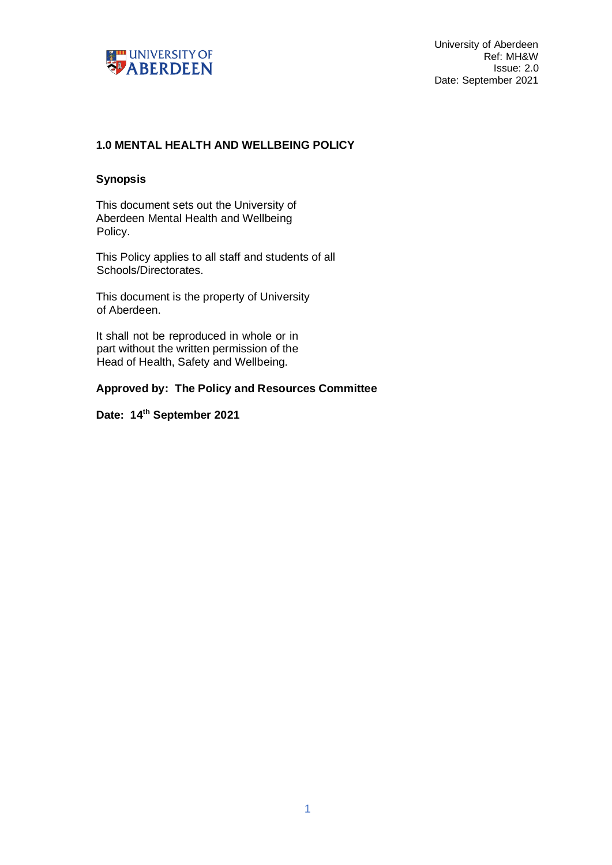

# **1.0 MENTAL HEALTH AND WELLBEING POLICY**

#### **Synopsis**

This document sets out the University of Aberdeen Mental Health and Wellbeing Policy.

This Policy applies to all staff and students of all Schools/Directorates.

This document is the property of University of Aberdeen.

It shall not be reproduced in whole or in part without the written permission of the Head of Health, Safety and Wellbeing.

**Approved by: The Policy and Resources Committee**

**Date: 14th September 2021**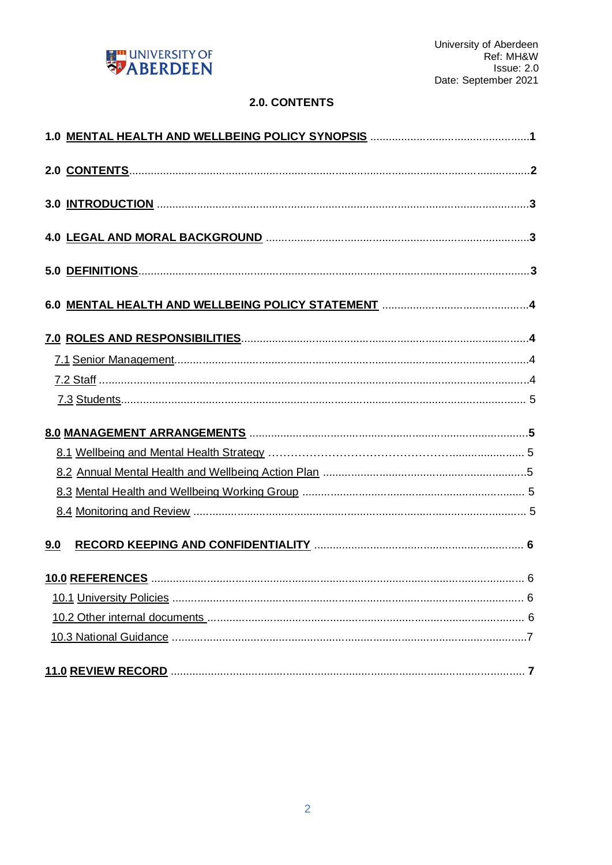

# 2.0. CONTENTS

| 9.0 |  |  |
|-----|--|--|
|     |  |  |
|     |  |  |
|     |  |  |
|     |  |  |
|     |  |  |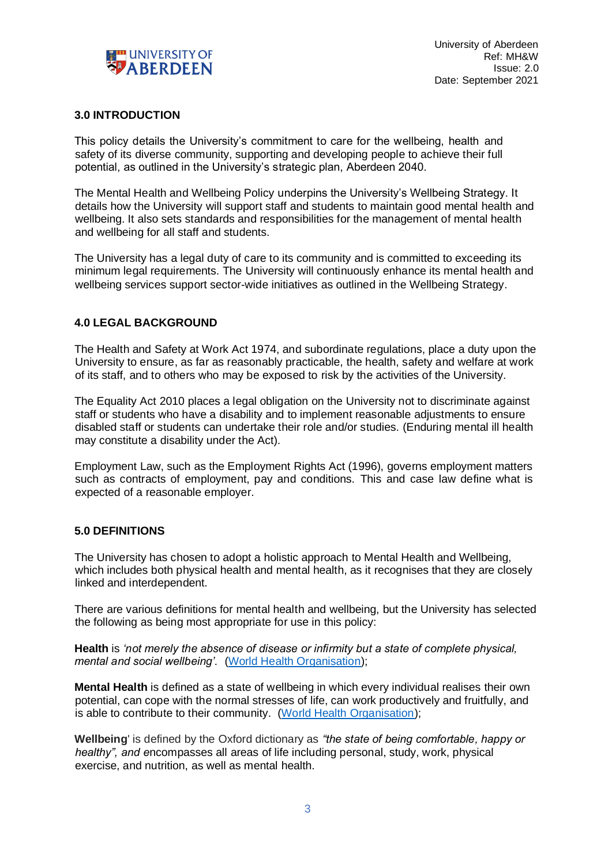

#### **3.0 INTRODUCTION**

This policy details the University's commitment to care for the wellbeing, health and safety of its diverse community, supporting and developing people to achieve their full potential, as outlined in the University's strategic plan, Aberdeen 2040.

The Mental Health and Wellbeing Policy underpins the University's Wellbeing Strategy. It details how the University will support staff and students to maintain good mental health and wellbeing. It also sets standards and responsibilities for the management of mental health and wellbeing for all staff and students.

The University has a legal duty of care to its community and is committed to exceeding its minimum legal requirements. The University will continuously enhance its mental health and wellbeing services support sector-wide initiatives as outlined in the Wellbeing Strategy.

#### **4.0 LEGAL BACKGROUND**

The Health and Safety at Work Act 1974, and subordinate regulations, place a duty upon the University to ensure, as far as reasonably practicable, the health, safety and welfare at work of its staff, and to others who may be exposed to risk by the activities of the University.

The Equality Act 2010 places a legal obligation on the University not to discriminate against staff or students who have a disability and to implement reasonable adjustments to ensure disabled staff or students can undertake their role and/or studies. (Enduring mental ill health may constitute a disability under the Act).

Employment Law, such as the Employment Rights Act (1996), governs employment matters such as contracts of employment, pay and conditions. This and case law define what is expected of a reasonable employer.

#### **5.0 DEFINITIONS**

The University has chosen to adopt a holistic approach to Mental Health and Wellbeing, which includes both physical health and mental health, as it recognises that they are closely linked and interdependent.

There are various definitions for mental health and wellbeing, but the University has selected the following as being most appropriate for use in this policy:

**Health** is *'not merely the absence of disease or infirmity but a state of complete physical, mental and social wellbeing'.* [\(World Health Organisation\);](https://www.who.int/)

**Mental Health** is defined as a state of wellbeing in which every individual realises their own potential, can cope with the normal stresses of life, can work productively and fruitfully, and is able to contribute to their community. [\(World Health Organisation\);](https://www.who.int/)

**Wellbeing**' is defined by the Oxford dictionary as *"the state of being comfortable, happy or healthy", and e*ncompasses all areas of life including personal, study, work, physical exercise, and nutrition, as well as mental health.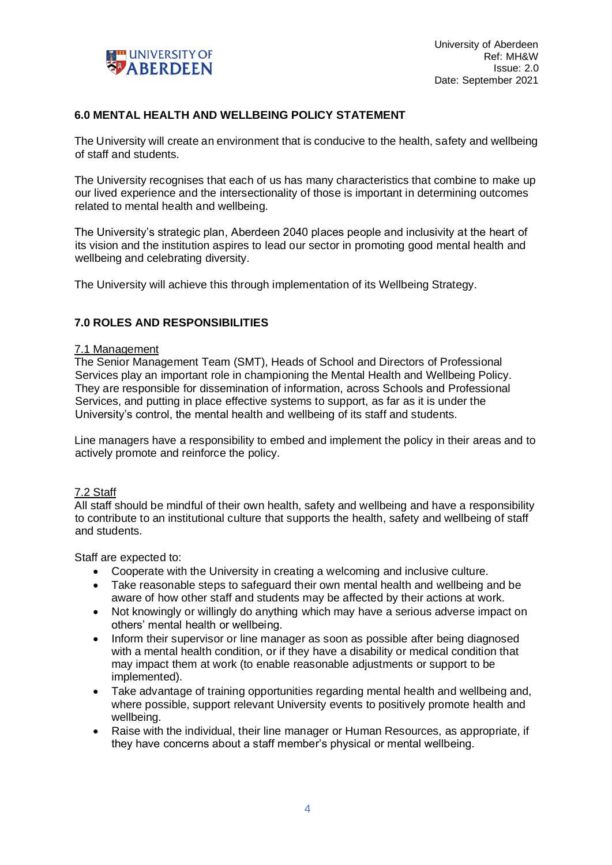

# **6.0 MENTAL HEALTH AND WELLBEING POLICY STATEMENT**

The University will create an environment that is conducive to the health, safety and wellbeing of staff and students.

The University recognises that each of us has many characteristics that combine to make up our lived experience and the intersectionality of those is important in determining outcomes related to mental health and wellbeing.

The University's strategic plan, Aberdeen 2040 places people and inclusivity at the heart of its vision and the institution aspires to lead our sector in promoting good mental health and wellbeing and celebrating diversity.

The University will achieve this through implementation of its Wellbeing Strategy.

### **7.0 ROLES AND RESPONSIBILITIES**

#### 7.1 Management

The Senior Management Team (SMT), Heads of School and Directors of Professional Services play an important role in championing the Mental Health and Wellbeing Policy. They are responsible for dissemination of information, across Schools and Professional Services, and putting in place effective systems to support, as far as it is under the University's control, the mental health and wellbeing of its staff and students.

Line managers have a responsibility to embed and implement the policy in their areas and to actively promote and reinforce the policy.

# 7.2 Staff

All staff should be mindful of their own health, safety and wellbeing and have a responsibility to contribute to an institutional culture that supports the health, safety and wellbeing of staff and students.

Staff are expected to:

- Cooperate with the University in creating a welcoming and inclusive culture.
- Take reasonable steps to safeguard their own mental health and wellbeing and be aware of how other staff and students may be affected by their actions at work.
- Not knowingly or willingly do anything which may have a serious adverse impact on others' mental health or wellbeing.
- Inform their supervisor or line manager as soon as possible after being diagnosed with a mental health condition, or if they have a disability or medical condition that may impact them at work (to enable reasonable adjustments or support to be implemented).
- Take advantage of training opportunities regarding mental health and wellbeing and, where possible, support relevant University events to positively promote health and wellbeing.
- Raise with the individual, their line manager or Human Resources, as appropriate, if they have concerns about a staff member's physical or mental wellbeing.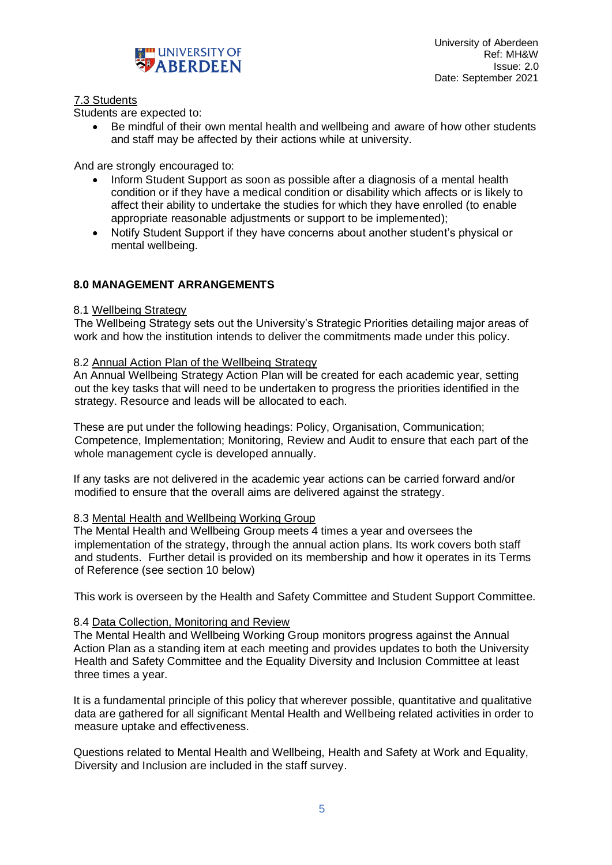

### 7.3 Students

Students are expected to:

• Be mindful of their own mental health and wellbeing and aware of how other students and staff may be affected by their actions while at university.

And are strongly encouraged to:

- Inform Student Support as soon as possible after a diagnosis of a mental health condition or if they have a medical condition or disability which affects or is likely to affect their ability to undertake the studies for which they have enrolled (to enable appropriate reasonable adjustments or support to be implemented);
- Notify Student Support if they have concerns about another student's physical or mental wellbeing.

# **8.0 MANAGEMENT ARRANGEMENTS**

### 8.1 Wellbeing Strategy

The Wellbeing Strategy sets out the University's Strategic Priorities detailing major areas of work and how the institution intends to deliver the commitments made under this policy.

#### 8.2 Annual Action Plan of the Wellbeing Strategy

An Annual Wellbeing Strategy Action Plan will be created for each academic year, setting out the key tasks that will need to be undertaken to progress the priorities identified in the strategy. Resource and leads will be allocated to each.

These are put under the following headings: Policy, Organisation, Communication; Competence, Implementation; Monitoring, Review and Audit to ensure that each part of the whole management cycle is developed annually.

If any tasks are not delivered in the academic year actions can be carried forward and/or modified to ensure that the overall aims are delivered against the strategy.

#### 8.3 Mental Health and Wellbeing Working Group

The Mental Health and Wellbeing Group meets 4 times a year and oversees the implementation of the strategy, through the annual action plans. Its work covers both staff and students. Further detail is provided on its membership and how it operates in its Terms of Reference (see section 10 below)

This work is overseen by the Health and Safety Committee and Student Support Committee.

#### 8.4 Data Collection, Monitoring and Review

The Mental Health and Wellbeing Working Group monitors progress against the Annual Action Plan as a standing item at each meeting and provides updates to both the University Health and Safety Committee and the Equality Diversity and Inclusion Committee at least three times a year.

It is a fundamental principle of this policy that wherever possible, quantitative and qualitative data are gathered for all significant Mental Health and Wellbeing related activities in order to measure uptake and effectiveness.

Questions related to Mental Health and Wellbeing, Health and Safety at Work and Equality, Diversity and Inclusion are included in the staff survey.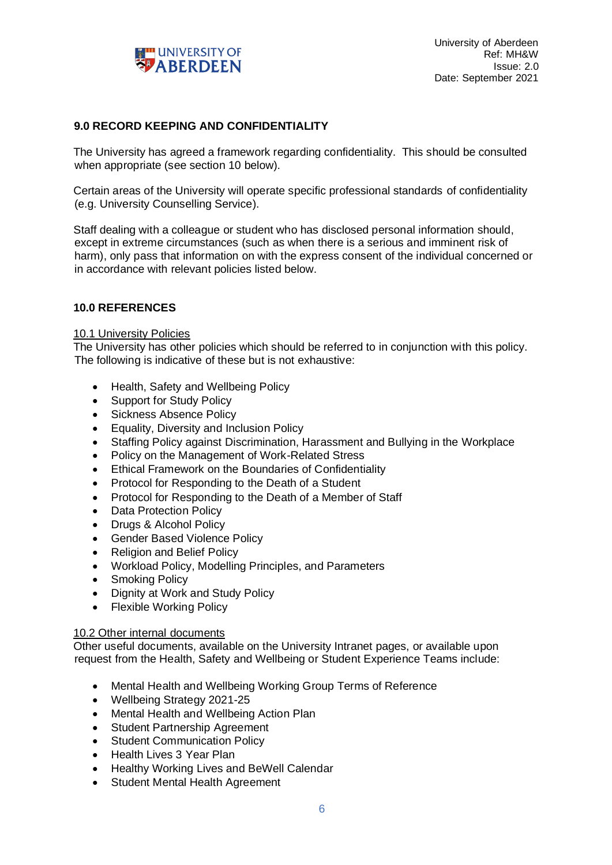

## **9.0 RECORD KEEPING AND CONFIDENTIALITY**

The University has agreed a framework regarding confidentiality. This should be consulted when appropriate (see section 10 below).

Certain areas of the University will operate specific professional standards of confidentiality (e.g. University Counselling Service).

Staff dealing with a colleague or student who has disclosed personal information should, except in extreme circumstances (such as when there is a serious and imminent risk of harm), only pass that information on with the express consent of the individual concerned or in accordance with relevant policies listed below.

# **10.0 REFERENCES**

#### 10.1 University Policies

The University has other policies which should be referred to in conjunction with this policy. The following is indicative of these but is not exhaustive:

- Health, Safety and Wellbeing Policy
- Support for Study Policy
- Sickness Absence Policy
- Equality, Diversity and Inclusion Policy
- Staffing Policy against Discrimination, Harassment and Bullying in the Workplace
- Policy on the Management of Work-Related Stress
- Ethical Framework on the Boundaries of Confidentiality
- Protocol for Responding to the Death of a Student
- Protocol for Responding to the Death of a Member of Staff
- Data Protection Policy
- Drugs & Alcohol Policy
- Gender Based Violence Policy
- Religion and Belief Policy
- Workload Policy, Modelling Principles, and Parameters
- Smoking Policy
- Dignity at Work and Study Policy
- Flexible Working Policy

### 10.2 Other internal documents

Other useful documents, available on the University Intranet pages, or available upon request from the Health, Safety and Wellbeing or Student Experience Teams include:

- Mental Health and Wellbeing Working Group Terms of Reference
- Wellbeing Strategy 2021-25
- Mental Health and Wellbeing Action Plan
- Student Partnership Agreement
- **Student Communication Policy**
- Health Lives 3 Year Plan
- Healthy Working Lives and BeWell Calendar
- Student Mental Health Agreement